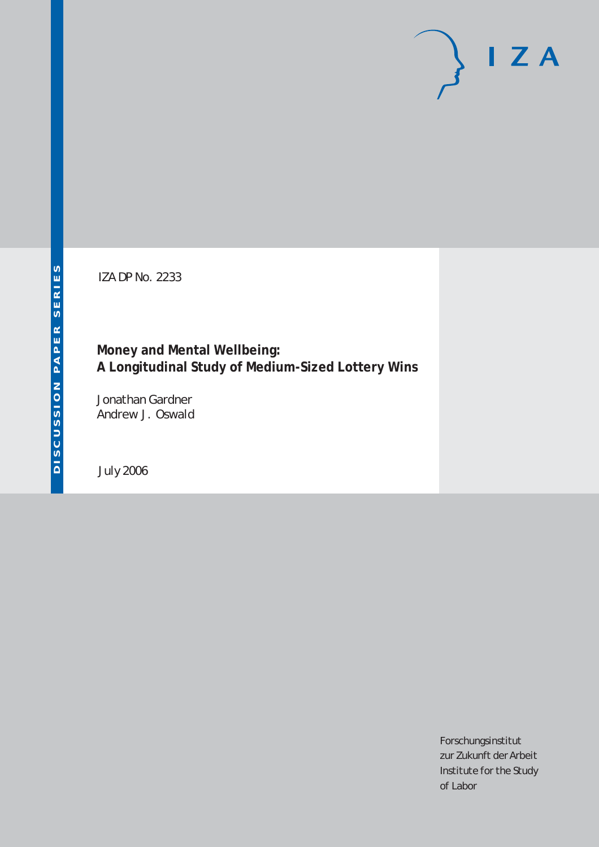# $I Z A$

IZA DP No. 2233

# **Money and Mental Wellbeing: A Longitudinal Study of Medium-Sized Lottery Wins**

Jonathan Gardner Andrew J. Oswald

July 2006

Forschungsinstitut zur Zukunft der Arbeit Institute for the Study of Labor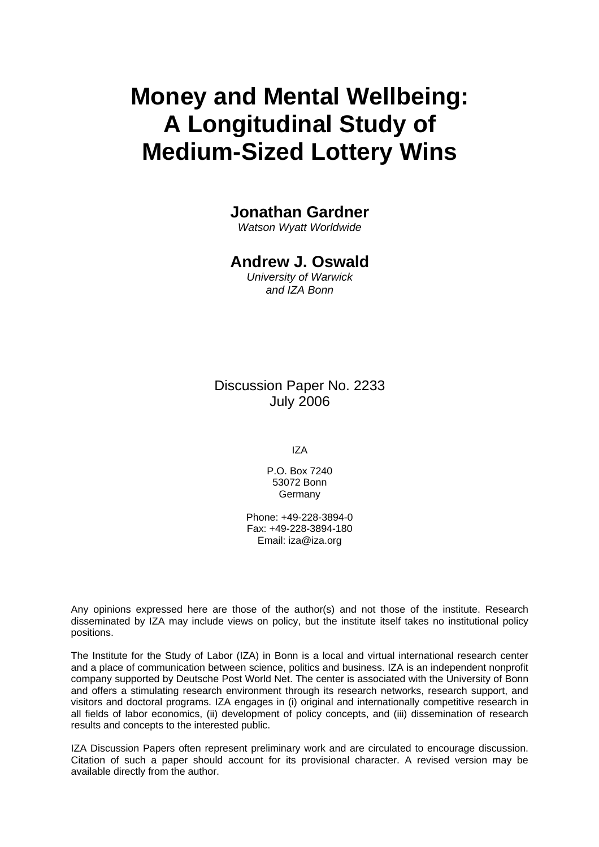# **Money and Mental Wellbeing: A Longitudinal Study of Medium-Sized Lottery Wins**

# **Jonathan Gardner**

*Watson Wyatt Worldwide* 

# **Andrew J. Oswald**

*University of Warwick and IZA Bonn* 

Discussion Paper No. 2233 July 2006

IZA

P.O. Box 7240 53072 Bonn **Germany** 

Phone: +49-228-3894-0 Fax: +49-228-3894-180 Email: [iza@iza.org](mailto:iza@iza.org)

Any opinions expressed here are those of the author(s) and not those of the institute. Research disseminated by IZA may include views on policy, but the institute itself takes no institutional policy positions.

The Institute for the Study of Labor (IZA) in Bonn is a local and virtual international research center and a place of communication between science, politics and business. IZA is an independent nonprofit company supported by Deutsche Post World Net. The center is associated with the University of Bonn and offers a stimulating research environment through its research networks, research support, and visitors and doctoral programs. IZA engages in (i) original and internationally competitive research in all fields of labor economics, (ii) development of policy concepts, and (iii) dissemination of research results and concepts to the interested public.

IZA Discussion Papers often represent preliminary work and are circulated to encourage discussion. Citation of such a paper should account for its provisional character. A revised version may be available directly from the author.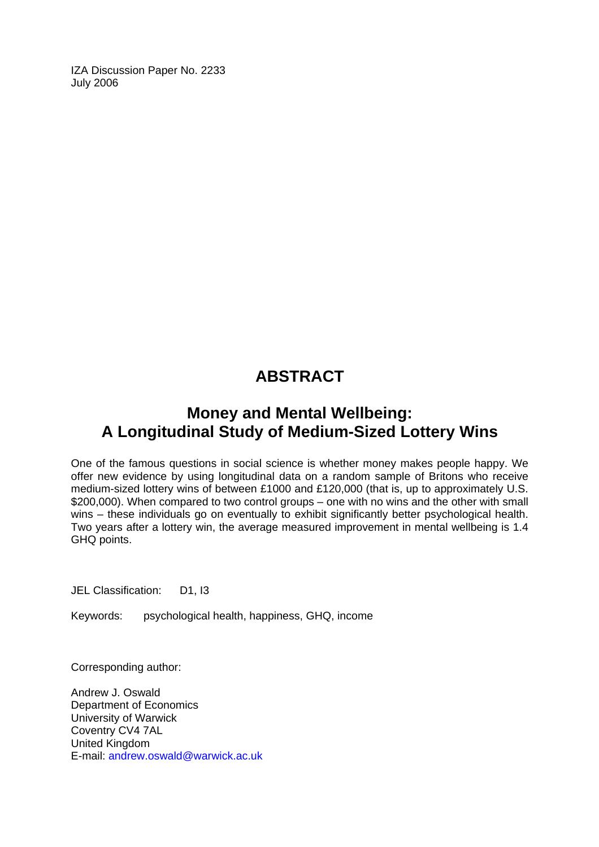IZA Discussion Paper No. 2233 July 2006

# **ABSTRACT**

# **Money and Mental Wellbeing: A Longitudinal Study of Medium-Sized Lottery Wins**

One of the famous questions in social science is whether money makes people happy. We offer new evidence by using longitudinal data on a random sample of Britons who receive medium-sized lottery wins of between £1000 and £120,000 (that is, up to approximately U.S. \$200,000). When compared to two control groups – one with no wins and the other with small wins – these individuals go on eventually to exhibit significantly better psychological health. Two years after a lottery win, the average measured improvement in mental wellbeing is 1.4 GHQ points.

JEL Classification: D1, I3

Keywords: psychological health, happiness, GHQ, income

Corresponding author:

Andrew J. Oswald Department of Economics University of Warwick Coventry CV4 7AL United Kingdom E-mail: [andrew.oswald@warwick.ac.uk](mailto:andrew.oswald@warwick.ac.uk)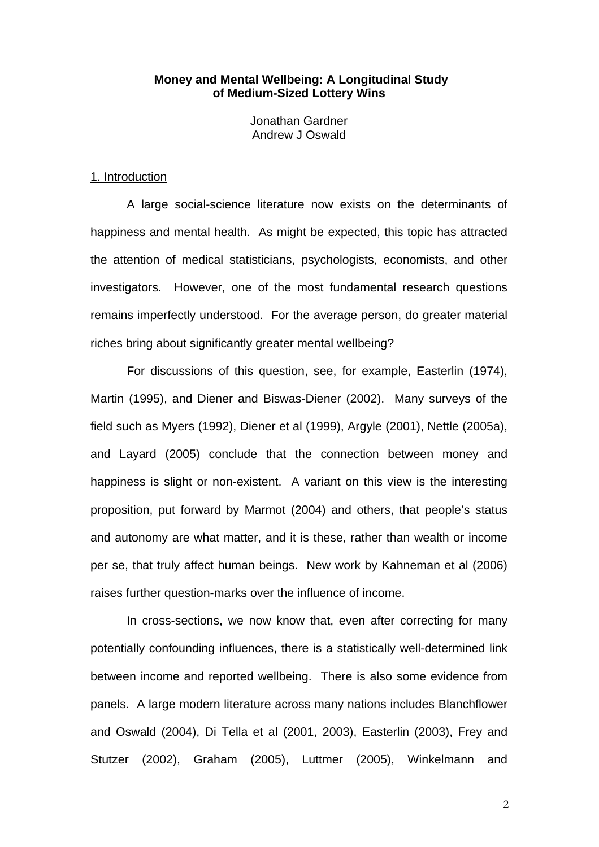### **Money and Mental Wellbeing: A Longitudinal Study of Medium-Sized Lottery Wins**

Jonathan Gardner Andrew J Oswald

### 1. Introduction

A large social-science literature now exists on the determinants of happiness and mental health. As might be expected, this topic has attracted the attention of medical statisticians, psychologists, economists, and other investigators. However, one of the most fundamental research questions remains imperfectly understood. For the average person, do greater material riches bring about significantly greater mental wellbeing?

For discussions of this question, see, for example, Easterlin (1974), Martin (1995), and Diener and Biswas-Diener (2002). Many surveys of the field such as Myers (1992), Diener et al (1999), Argyle (2001), Nettle (2005a), and Layard (2005) conclude that the connection between money and happiness is slight or non-existent. A variant on this view is the interesting proposition, put forward by Marmot (2004) and others, that people's status and autonomy are what matter, and it is these, rather than wealth or income per se, that truly affect human beings. New work by Kahneman et al (2006) raises further question-marks over the influence of income.

In cross-sections, we now know that, even after correcting for many potentially confounding influences, there is a statistically well-determined link between income and reported wellbeing. There is also some evidence from panels. A large modern literature across many nations includes Blanchflower and Oswald (2004), Di Tella et al (2001, 2003), Easterlin (2003), Frey and Stutzer (2002), Graham (2005), Luttmer (2005), Winkelmann and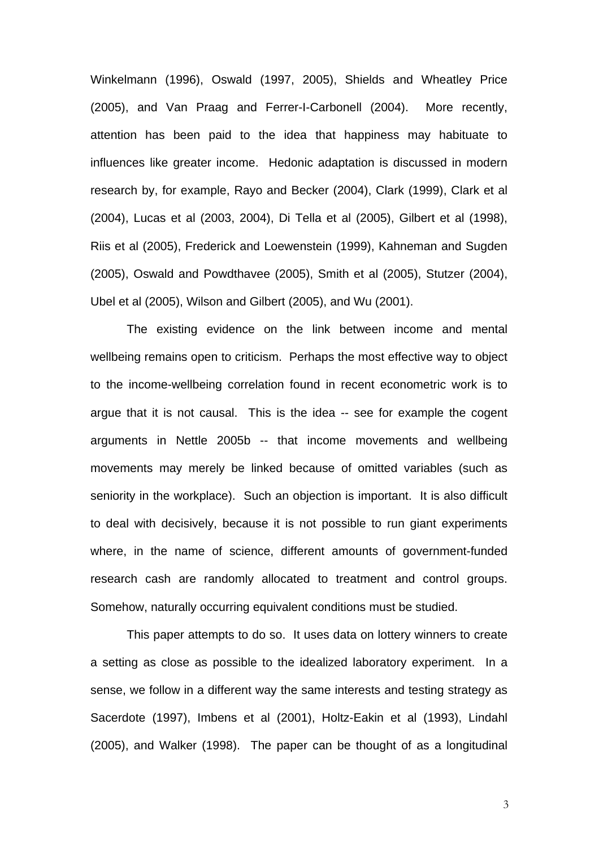Winkelmann (1996), Oswald (1997, 2005), Shields and Wheatley Price (2005), and Van Praag and Ferrer-I-Carbonell (2004). More recently, attention has been paid to the idea that happiness may habituate to influences like greater income. Hedonic adaptation is discussed in modern research by, for example, Rayo and Becker (2004), Clark (1999), Clark et al (2004), Lucas et al (2003, 2004), Di Tella et al (2005), Gilbert et al (1998), Riis et al (2005), Frederick and Loewenstein (1999), Kahneman and Sugden (2005), Oswald and Powdthavee (2005), Smith et al (2005), Stutzer (2004), Ubel et al (2005), Wilson and Gilbert (2005), and Wu (2001).

The existing evidence on the link between income and mental wellbeing remains open to criticism. Perhaps the most effective way to object to the income-wellbeing correlation found in recent econometric work is to argue that it is not causal. This is the idea -- see for example the cogent arguments in Nettle 2005b -- that income movements and wellbeing movements may merely be linked because of omitted variables (such as seniority in the workplace). Such an objection is important. It is also difficult to deal with decisively, because it is not possible to run giant experiments where, in the name of science, different amounts of government-funded research cash are randomly allocated to treatment and control groups. Somehow, naturally occurring equivalent conditions must be studied.

This paper attempts to do so. It uses data on lottery winners to create a setting as close as possible to the idealized laboratory experiment. In a sense, we follow in a different way the same interests and testing strategy as Sacerdote (1997), Imbens et al (2001), Holtz-Eakin et al (1993), Lindahl (2005), and Walker (1998). The paper can be thought of as a longitudinal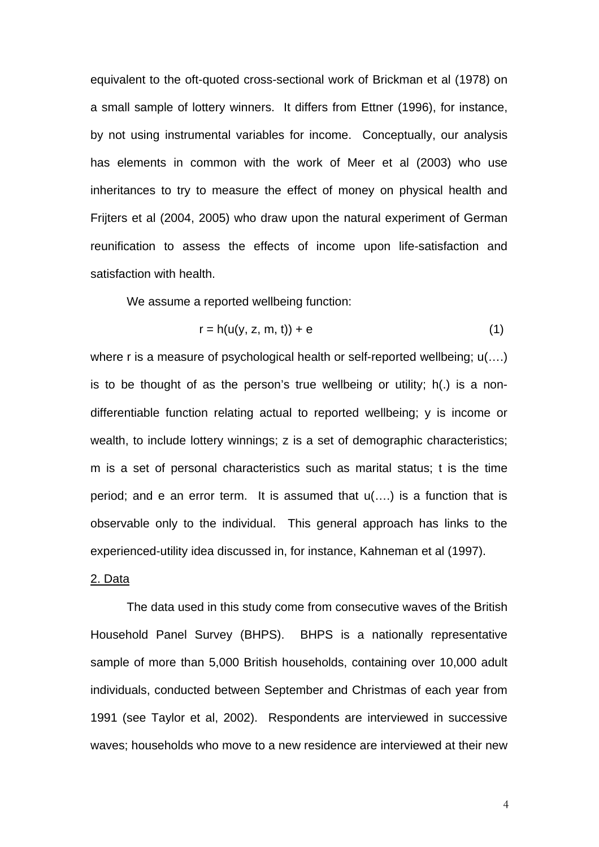equivalent to the oft-quoted cross-sectional work of Brickman et al (1978) on a small sample of lottery winners. It differs from Ettner (1996), for instance, by not using instrumental variables for income. Conceptually, our analysis has elements in common with the work of Meer et al (2003) who use inheritances to try to measure the effect of money on physical health and Frijters et al (2004, 2005) who draw upon the natural experiment of German reunification to assess the effects of income upon life-satisfaction and satisfaction with health.

We assume a reported wellbeing function:

$$
r = h(u(y, z, m, t)) + e \tag{1}
$$

where r is a measure of psychological health or self-reported wellbeing;  $u(...)$ is to be thought of as the person's true wellbeing or utility; h(.) is a nondifferentiable function relating actual to reported wellbeing; y is income or wealth, to include lottery winnings; z is a set of demographic characteristics; m is a set of personal characteristics such as marital status; t is the time period; and e an error term. It is assumed that u(….) is a function that is observable only to the individual. This general approach has links to the experienced-utility idea discussed in, for instance, Kahneman et al (1997).

### 2. Data

The data used in this study come from consecutive waves of the British Household Panel Survey (BHPS). BHPS is a nationally representative sample of more than 5,000 British households, containing over 10,000 adult individuals, conducted between September and Christmas of each year from 1991 (see Taylor et al, 2002). Respondents are interviewed in successive waves; households who move to a new residence are interviewed at their new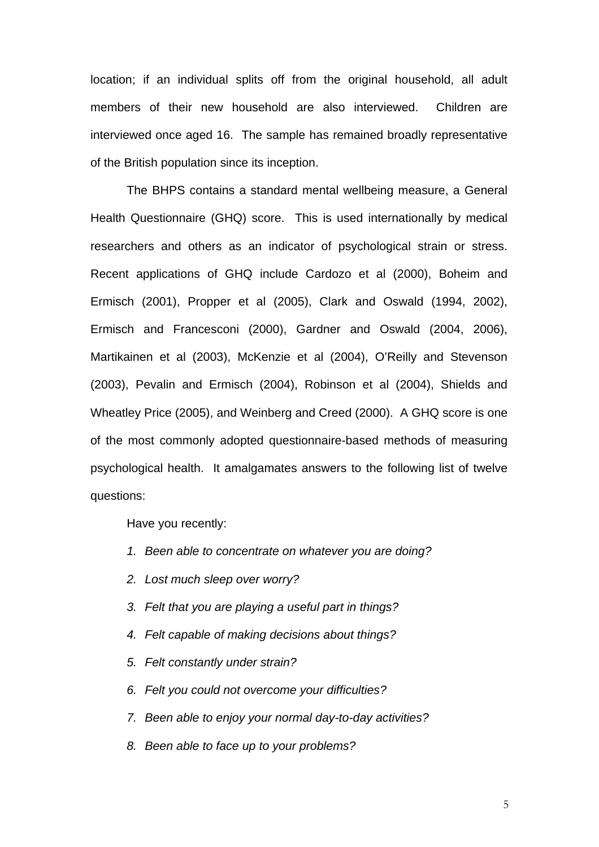location; if an individual splits off from the original household, all adult members of their new household are also interviewed. Children are interviewed once aged 16. The sample has remained broadly representative of the British population since its inception.

The BHPS contains a standard mental wellbeing measure, a General Health Questionnaire (GHQ) score. This is used internationally by medical researchers and others as an indicator of psychological strain or stress. Recent applications of GHQ include Cardozo et al (2000), Boheim and Ermisch (2001), Propper et al (2005), Clark and Oswald (1994, 2002), Ermisch and Francesconi (2000), Gardner and Oswald (2004, 2006), Martikainen et al (2003), McKenzie et al (2004), O'Reilly and Stevenson (2003), Pevalin and Ermisch (2004), Robinson et al (2004), Shields and Wheatley Price (2005), and Weinberg and Creed (2000). A GHQ score is one of the most commonly adopted questionnaire-based methods of measuring psychological health. It amalgamates answers to the following list of twelve questions:

Have you recently:

- *1. Been able to concentrate on whatever you are doing?*
- *2. Lost much sleep over worry?*
- *3. Felt that you are playing a useful part in things?*
- *4. Felt capable of making decisions about things?*
- *5. Felt constantly under strain?*
- *6. Felt you could not overcome your difficulties?*
- *7. Been able to enjoy your normal day-to-day activities?*
- *8. Been able to face up to your problems?*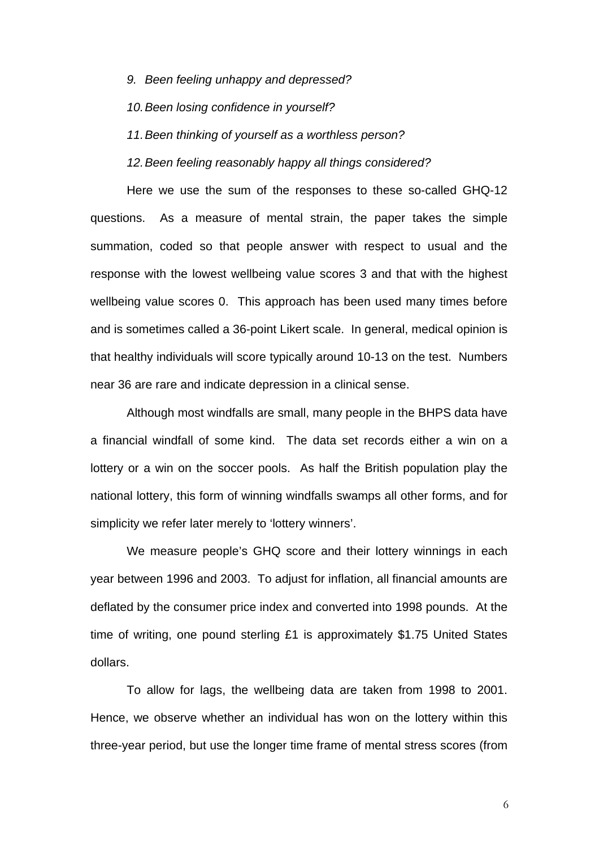*9. Been feeling unhappy and depressed?* 

*10. Been losing confidence in yourself?* 

*11. Been thinking of yourself as a worthless person?* 

*12. Been feeling reasonably happy all things considered?* 

Here we use the sum of the responses to these so-called GHQ-12 questions. As a measure of mental strain, the paper takes the simple summation, coded so that people answer with respect to usual and the response with the lowest wellbeing value scores 3 and that with the highest wellbeing value scores 0. This approach has been used many times before and is sometimes called a 36-point Likert scale. In general, medical opinion is that healthy individuals will score typically around 10-13 on the test. Numbers near 36 are rare and indicate depression in a clinical sense.

Although most windfalls are small, many people in the BHPS data have a financial windfall of some kind. The data set records either a win on a lottery or a win on the soccer pools. As half the British population play the national lottery, this form of winning windfalls swamps all other forms, and for simplicity we refer later merely to 'lottery winners'.

We measure people's GHQ score and their lottery winnings in each year between 1996 and 2003. To adjust for inflation, all financial amounts are deflated by the consumer price index and converted into 1998 pounds. At the time of writing, one pound sterling £1 is approximately \$1.75 United States dollars.

To allow for lags, the wellbeing data are taken from 1998 to 2001. Hence, we observe whether an individual has won on the lottery within this three-year period, but use the longer time frame of mental stress scores (from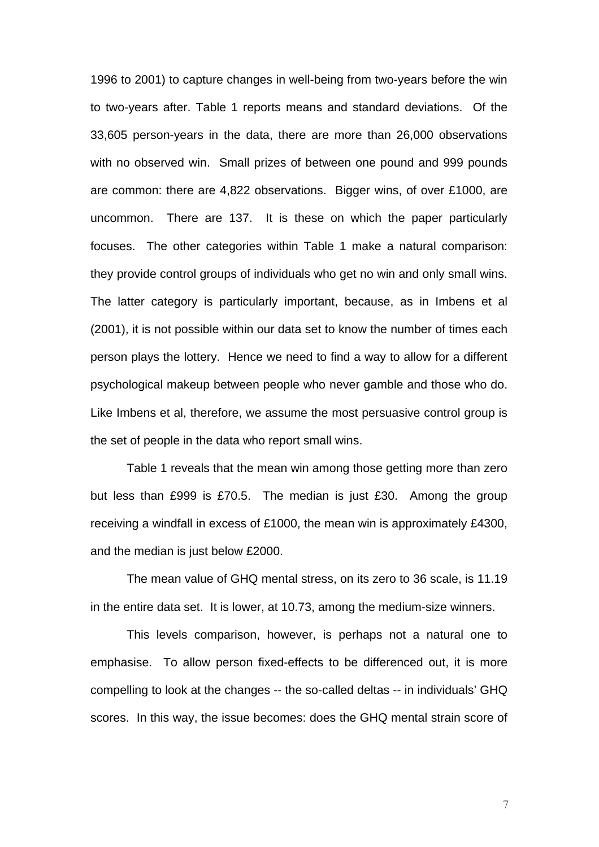1996 to 2001) to capture changes in well-being from two-years before the win to two-years after. Table 1 reports means and standard deviations. Of the 33,605 person-years in the data, there are more than 26,000 observations with no observed win. Small prizes of between one pound and 999 pounds are common: there are 4,822 observations. Bigger wins, of over £1000, are uncommon. There are 137. It is these on which the paper particularly focuses. The other categories within Table 1 make a natural comparison: they provide control groups of individuals who get no win and only small wins. The latter category is particularly important, because, as in Imbens et al (2001), it is not possible within our data set to know the number of times each person plays the lottery. Hence we need to find a way to allow for a different psychological makeup between people who never gamble and those who do. Like Imbens et al, therefore, we assume the most persuasive control group is the set of people in the data who report small wins.

Table 1 reveals that the mean win among those getting more than zero but less than £999 is £70.5. The median is just £30. Among the group receiving a windfall in excess of £1000, the mean win is approximately £4300, and the median is just below £2000.

The mean value of GHQ mental stress, on its zero to 36 scale, is 11.19 in the entire data set. It is lower, at 10.73, among the medium-size winners.

This levels comparison, however, is perhaps not a natural one to emphasise. To allow person fixed-effects to be differenced out, it is more compelling to look at the changes -- the so-called deltas -- in individuals' GHQ scores. In this way, the issue becomes: does the GHQ mental strain score of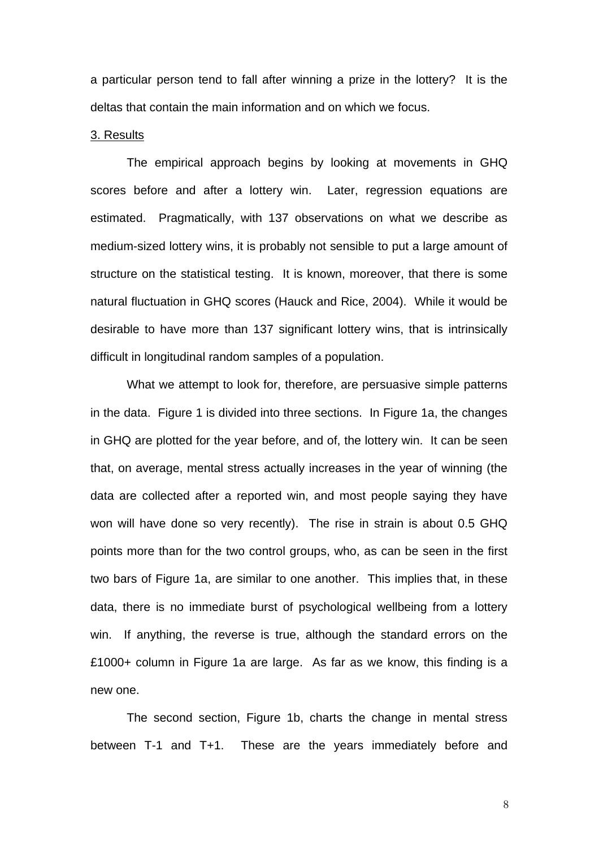a particular person tend to fall after winning a prize in the lottery? It is the deltas that contain the main information and on which we focus.

### 3. Results

The empirical approach begins by looking at movements in GHQ scores before and after a lottery win. Later, regression equations are estimated. Pragmatically, with 137 observations on what we describe as medium-sized lottery wins, it is probably not sensible to put a large amount of structure on the statistical testing. It is known, moreover, that there is some natural fluctuation in GHQ scores (Hauck and Rice, 2004). While it would be desirable to have more than 137 significant lottery wins, that is intrinsically difficult in longitudinal random samples of a population.

What we attempt to look for, therefore, are persuasive simple patterns in the data. Figure 1 is divided into three sections. In Figure 1a, the changes in GHQ are plotted for the year before, and of, the lottery win. It can be seen that, on average, mental stress actually increases in the year of winning (the data are collected after a reported win, and most people saying they have won will have done so very recently). The rise in strain is about 0.5 GHQ points more than for the two control groups, who, as can be seen in the first two bars of Figure 1a, are similar to one another. This implies that, in these data, there is no immediate burst of psychological wellbeing from a lottery win. If anything, the reverse is true, although the standard errors on the £1000+ column in Figure 1a are large. As far as we know, this finding is a new one.

The second section, Figure 1b, charts the change in mental stress between T-1 and T+1. These are the years immediately before and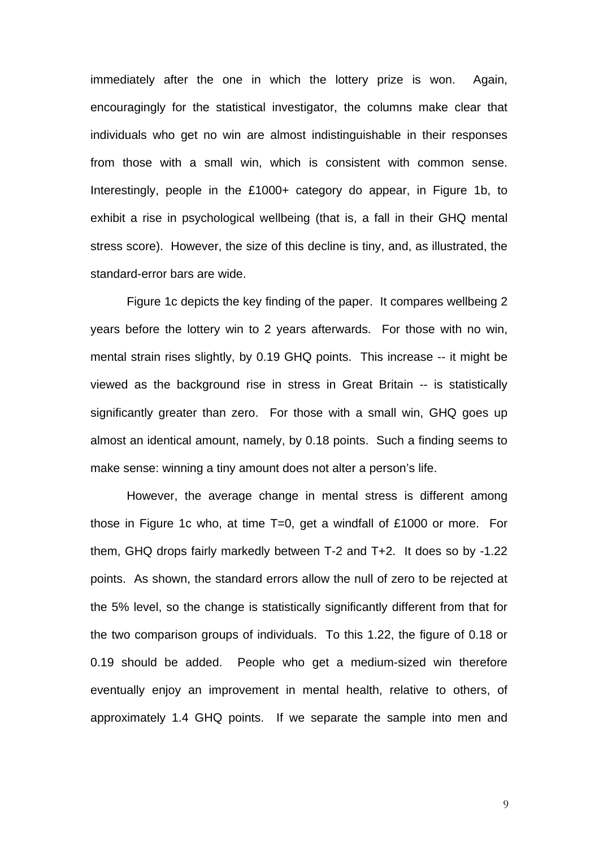immediately after the one in which the lottery prize is won. Again, encouragingly for the statistical investigator, the columns make clear that individuals who get no win are almost indistinguishable in their responses from those with a small win, which is consistent with common sense. Interestingly, people in the £1000+ category do appear, in Figure 1b, to exhibit a rise in psychological wellbeing (that is, a fall in their GHQ mental stress score). However, the size of this decline is tiny, and, as illustrated, the standard-error bars are wide.

Figure 1c depicts the key finding of the paper. It compares wellbeing 2 years before the lottery win to 2 years afterwards. For those with no win, mental strain rises slightly, by 0.19 GHQ points. This increase -- it might be viewed as the background rise in stress in Great Britain -- is statistically significantly greater than zero. For those with a small win, GHQ goes up almost an identical amount, namely, by 0.18 points. Such a finding seems to make sense: winning a tiny amount does not alter a person's life.

However, the average change in mental stress is different among those in Figure 1c who, at time T=0, get a windfall of £1000 or more. For them, GHQ drops fairly markedly between T-2 and T+2. It does so by -1.22 points. As shown, the standard errors allow the null of zero to be rejected at the 5% level, so the change is statistically significantly different from that for the two comparison groups of individuals. To this 1.22, the figure of 0.18 or 0.19 should be added. People who get a medium-sized win therefore eventually enjoy an improvement in mental health, relative to others, of approximately 1.4 GHQ points. If we separate the sample into men and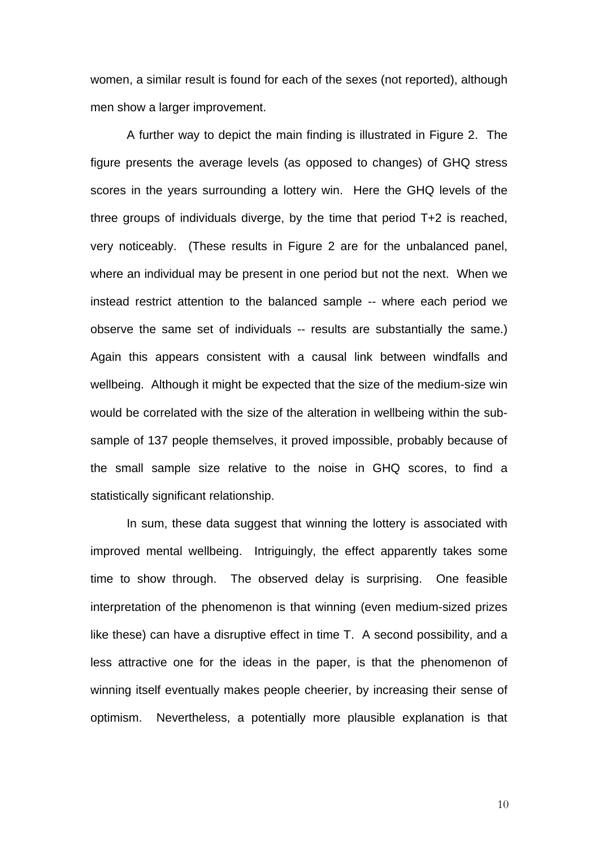women, a similar result is found for each of the sexes (not reported), although men show a larger improvement.

A further way to depict the main finding is illustrated in Figure 2. The figure presents the average levels (as opposed to changes) of GHQ stress scores in the years surrounding a lottery win. Here the GHQ levels of the three groups of individuals diverge, by the time that period T+2 is reached, very noticeably. (These results in Figure 2 are for the unbalanced panel, where an individual may be present in one period but not the next. When we instead restrict attention to the balanced sample -- where each period we observe the same set of individuals -- results are substantially the same.) Again this appears consistent with a causal link between windfalls and wellbeing. Although it might be expected that the size of the medium-size win would be correlated with the size of the alteration in wellbeing within the subsample of 137 people themselves, it proved impossible, probably because of the small sample size relative to the noise in GHQ scores, to find a statistically significant relationship.

In sum, these data suggest that winning the lottery is associated with improved mental wellbeing. Intriguingly, the effect apparently takes some time to show through. The observed delay is surprising. One feasible interpretation of the phenomenon is that winning (even medium-sized prizes like these) can have a disruptive effect in time T. A second possibility, and a less attractive one for the ideas in the paper, is that the phenomenon of winning itself eventually makes people cheerier, by increasing their sense of optimism. Nevertheless, a potentially more plausible explanation is that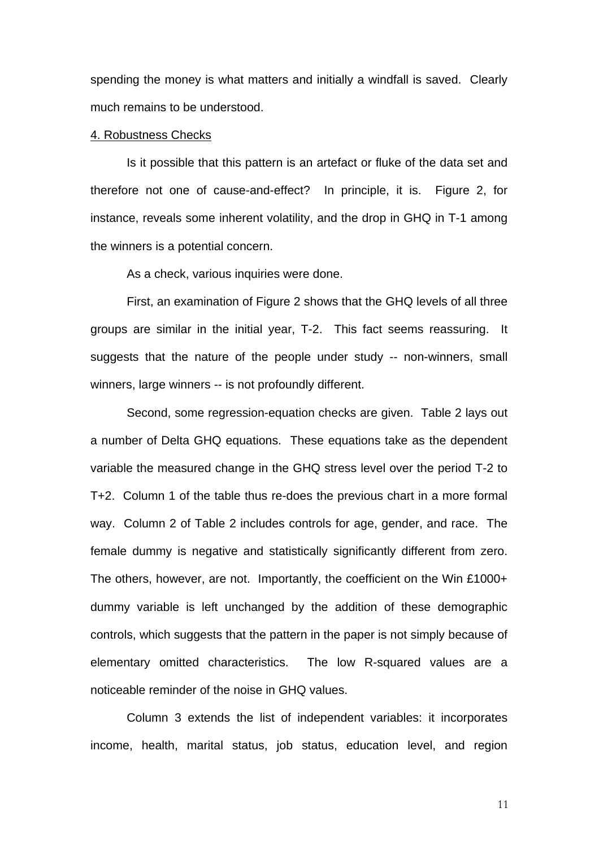spending the money is what matters and initially a windfall is saved. Clearly much remains to be understood.

### 4. Robustness Checks

Is it possible that this pattern is an artefact or fluke of the data set and therefore not one of cause-and-effect? In principle, it is. Figure 2, for instance, reveals some inherent volatility, and the drop in GHQ in T-1 among the winners is a potential concern.

As a check, various inquiries were done.

First, an examination of Figure 2 shows that the GHQ levels of all three groups are similar in the initial year, T-2. This fact seems reassuring. It suggests that the nature of the people under study -- non-winners, small winners, large winners -- is not profoundly different.

Second, some regression-equation checks are given. Table 2 lays out a number of Delta GHQ equations. These equations take as the dependent variable the measured change in the GHQ stress level over the period T-2 to T+2. Column 1 of the table thus re-does the previous chart in a more formal way. Column 2 of Table 2 includes controls for age, gender, and race. The female dummy is negative and statistically significantly different from zero. The others, however, are not. Importantly, the coefficient on the Win £1000+ dummy variable is left unchanged by the addition of these demographic controls, which suggests that the pattern in the paper is not simply because of elementary omitted characteristics. The low R-squared values are a noticeable reminder of the noise in GHQ values.

Column 3 extends the list of independent variables: it incorporates income, health, marital status, job status, education level, and region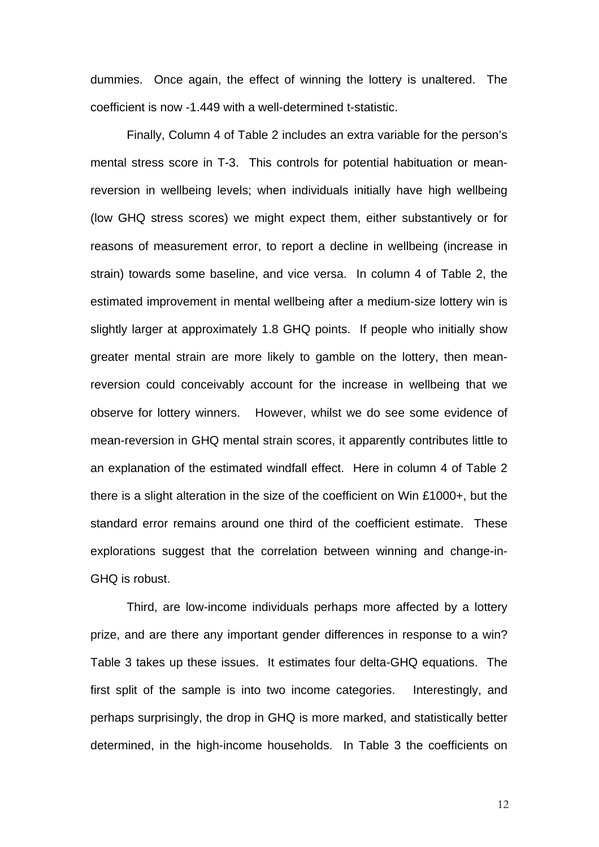dummies. Once again, the effect of winning the lottery is unaltered. The coefficient is now -1.449 with a well-determined t-statistic.

Finally, Column 4 of Table 2 includes an extra variable for the person's mental stress score in T-3. This controls for potential habituation or meanreversion in wellbeing levels; when individuals initially have high wellbeing (low GHQ stress scores) we might expect them, either substantively or for reasons of measurement error, to report a decline in wellbeing (increase in strain) towards some baseline, and vice versa. In column 4 of Table 2, the estimated improvement in mental wellbeing after a medium-size lottery win is slightly larger at approximately 1.8 GHQ points. If people who initially show greater mental strain are more likely to gamble on the lottery, then meanreversion could conceivably account for the increase in wellbeing that we observe for lottery winners. However, whilst we do see some evidence of mean-reversion in GHQ mental strain scores, it apparently contributes little to an explanation of the estimated windfall effect. Here in column 4 of Table 2 there is a slight alteration in the size of the coefficient on Win £1000+, but the standard error remains around one third of the coefficient estimate. These explorations suggest that the correlation between winning and change-in-GHQ is robust.

Third, are low-income individuals perhaps more affected by a lottery prize, and are there any important gender differences in response to a win? Table 3 takes up these issues. It estimates four delta-GHQ equations. The first split of the sample is into two income categories. Interestingly, and perhaps surprisingly, the drop in GHQ is more marked, and statistically better determined, in the high-income households. In Table 3 the coefficients on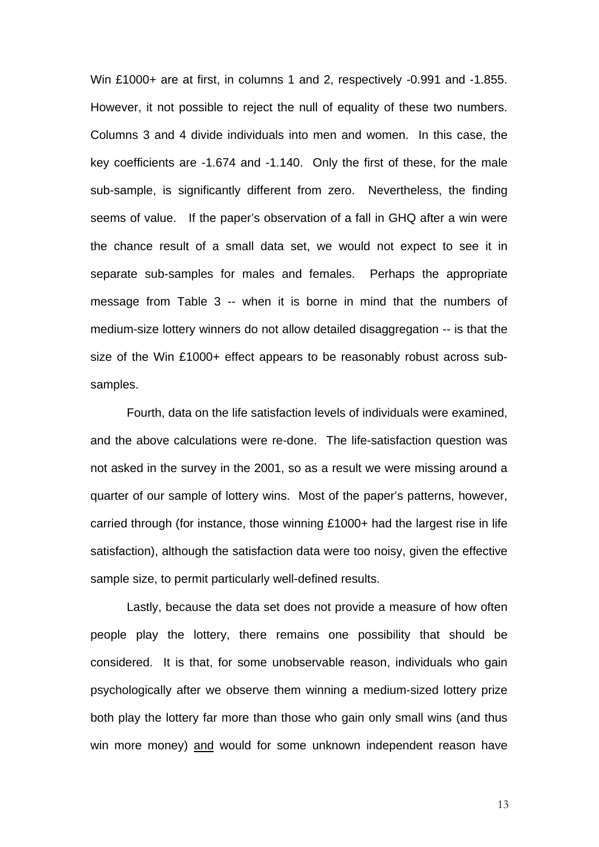Win £1000+ are at first, in columns 1 and 2, respectively -0.991 and -1.855. However, it not possible to reject the null of equality of these two numbers. Columns 3 and 4 divide individuals into men and women. In this case, the key coefficients are -1.674 and -1.140. Only the first of these, for the male sub-sample, is significantly different from zero. Nevertheless, the finding seems of value. If the paper's observation of a fall in GHQ after a win were the chance result of a small data set, we would not expect to see it in separate sub-samples for males and females. Perhaps the appropriate message from Table 3 -- when it is borne in mind that the numbers of medium-size lottery winners do not allow detailed disaggregation -- is that the size of the Win £1000+ effect appears to be reasonably robust across subsamples.

Fourth, data on the life satisfaction levels of individuals were examined, and the above calculations were re-done. The life-satisfaction question was not asked in the survey in the 2001, so as a result we were missing around a quarter of our sample of lottery wins. Most of the paper's patterns, however, carried through (for instance, those winning £1000+ had the largest rise in life satisfaction), although the satisfaction data were too noisy, given the effective sample size, to permit particularly well-defined results.

Lastly, because the data set does not provide a measure of how often people play the lottery, there remains one possibility that should be considered. It is that, for some unobservable reason, individuals who gain psychologically after we observe them winning a medium-sized lottery prize both play the lottery far more than those who gain only small wins (and thus win more money) and would for some unknown independent reason have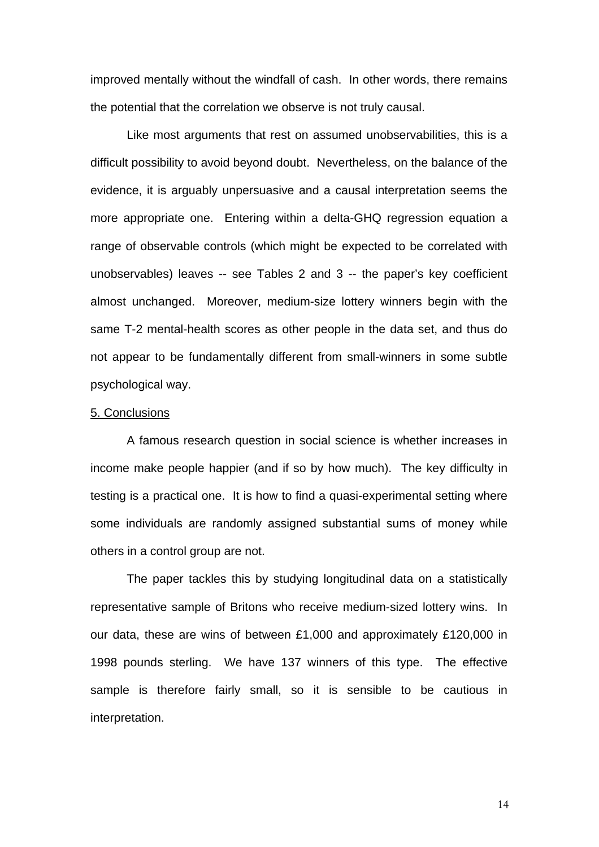improved mentally without the windfall of cash. In other words, there remains the potential that the correlation we observe is not truly causal.

Like most arguments that rest on assumed unobservabilities, this is a difficult possibility to avoid beyond doubt. Nevertheless, on the balance of the evidence, it is arguably unpersuasive and a causal interpretation seems the more appropriate one. Entering within a delta-GHQ regression equation a range of observable controls (which might be expected to be correlated with unobservables) leaves -- see Tables 2 and 3 -- the paper's key coefficient almost unchanged. Moreover, medium-size lottery winners begin with the same T-2 mental-health scores as other people in the data set, and thus do not appear to be fundamentally different from small-winners in some subtle psychological way.

### 5. Conclusions

A famous research question in social science is whether increases in income make people happier (and if so by how much). The key difficulty in testing is a practical one. It is how to find a quasi-experimental setting where some individuals are randomly assigned substantial sums of money while others in a control group are not.

The paper tackles this by studying longitudinal data on a statistically representative sample of Britons who receive medium-sized lottery wins. In our data, these are wins of between £1,000 and approximately £120,000 in 1998 pounds sterling. We have 137 winners of this type. The effective sample is therefore fairly small, so it is sensible to be cautious in interpretation.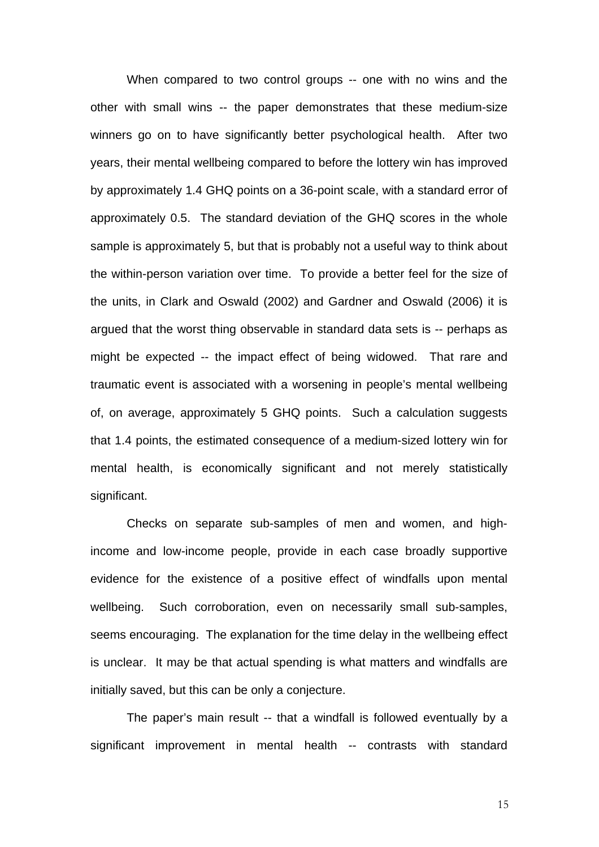When compared to two control groups -- one with no wins and the other with small wins -- the paper demonstrates that these medium-size winners go on to have significantly better psychological health. After two years, their mental wellbeing compared to before the lottery win has improved by approximately 1.4 GHQ points on a 36-point scale, with a standard error of approximately 0.5. The standard deviation of the GHQ scores in the whole sample is approximately 5, but that is probably not a useful way to think about the within-person variation over time. To provide a better feel for the size of the units, in Clark and Oswald (2002) and Gardner and Oswald (2006) it is argued that the worst thing observable in standard data sets is -- perhaps as might be expected -- the impact effect of being widowed. That rare and traumatic event is associated with a worsening in people's mental wellbeing of, on average, approximately 5 GHQ points. Such a calculation suggests that 1.4 points, the estimated consequence of a medium-sized lottery win for mental health, is economically significant and not merely statistically significant.

Checks on separate sub-samples of men and women, and highincome and low-income people, provide in each case broadly supportive evidence for the existence of a positive effect of windfalls upon mental wellbeing. Such corroboration, even on necessarily small sub-samples, seems encouraging. The explanation for the time delay in the wellbeing effect is unclear. It may be that actual spending is what matters and windfalls are initially saved, but this can be only a conjecture.

The paper's main result -- that a windfall is followed eventually by a significant improvement in mental health -- contrasts with standard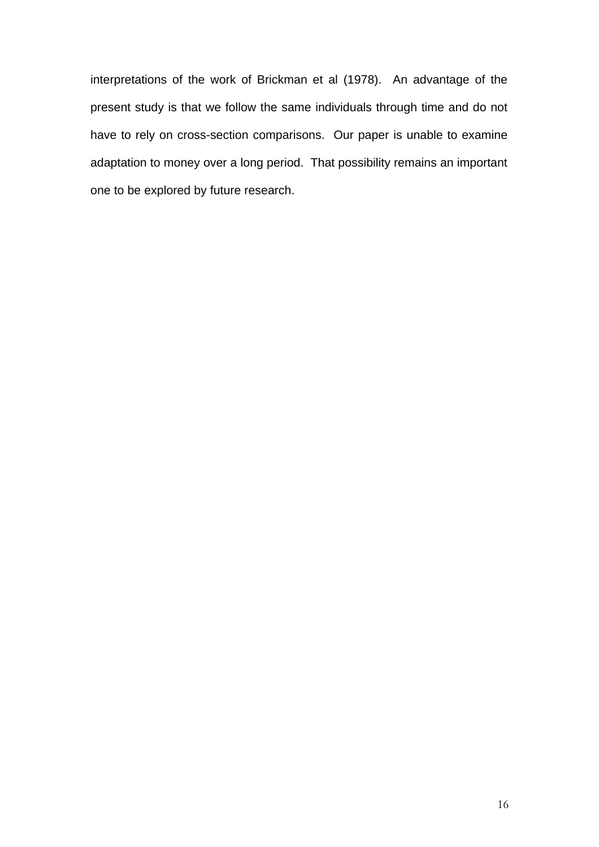interpretations of the work of Brickman et al (1978). An advantage of the present study is that we follow the same individuals through time and do not have to rely on cross-section comparisons. Our paper is unable to examine adaptation to money over a long period. That possibility remains an important one to be explored by future research.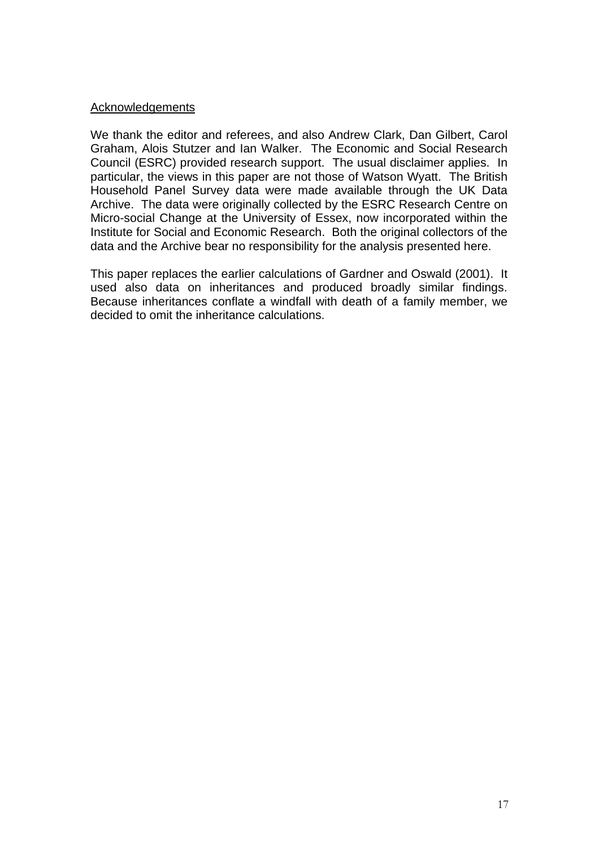### Acknowledgements

We thank the editor and referees, and also Andrew Clark, Dan Gilbert, Carol Graham, Alois Stutzer and Ian Walker. The Economic and Social Research Council (ESRC) provided research support. The usual disclaimer applies. In particular, the views in this paper are not those of Watson Wyatt. The British Household Panel Survey data were made available through the UK Data Archive. The data were originally collected by the ESRC Research Centre on Micro-social Change at the University of Essex, now incorporated within the Institute for Social and Economic Research. Both the original collectors of the data and the Archive bear no responsibility for the analysis presented here.

This paper replaces the earlier calculations of Gardner and Oswald (2001). It used also data on inheritances and produced broadly similar findings. Because inheritances conflate a windfall with death of a family member, we decided to omit the inheritance calculations.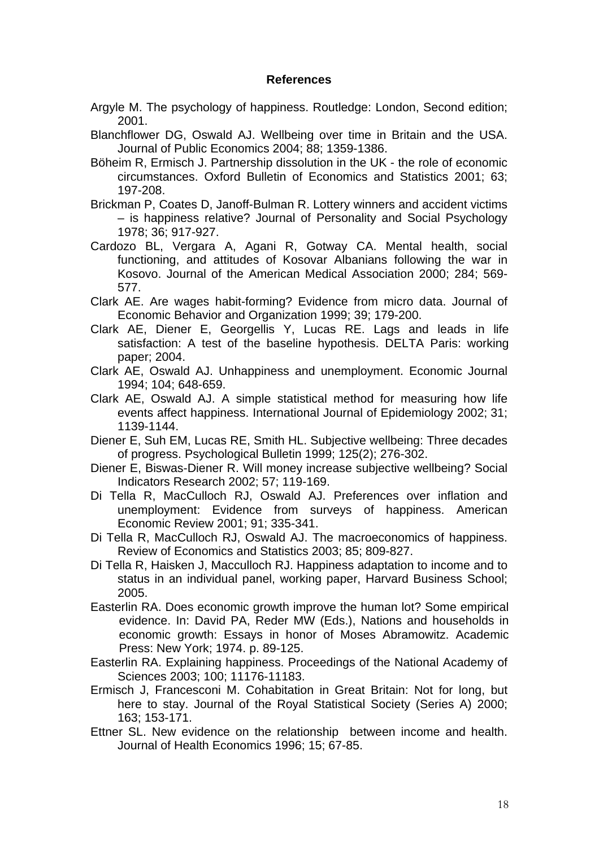### **References**

- Argyle M. The psychology of happiness. Routledge: London, Second edition; 2001.
- Blanchflower DG, Oswald AJ. Wellbeing over time in Britain and the USA. Journal of Public Economics 2004; 88; 1359-1386.
- Böheim R, Ermisch J. Partnership dissolution in the UK the role of economic circumstances. Oxford Bulletin of Economics and Statistics 2001; 63; 197-208.
- Brickman P, Coates D, Janoff-Bulman R. Lottery winners and accident victims – is happiness relative? Journal of Personality and Social Psychology 1978; 36; 917-927.
- Cardozo BL, Vergara A, Agani R, Gotway CA. Mental health, social functioning, and attitudes of Kosovar Albanians following the war in Kosovo. Journal of the American Medical Association 2000; 284; 569- 577.
- Clark AE. Are wages habit-forming? Evidence from micro data. Journal of Economic Behavior and Organization 1999; 39; 179-200.
- Clark AE, Diener E, Georgellis Y, Lucas RE. Lags and leads in life satisfaction: A test of the baseline hypothesis. DELTA Paris: working paper; 2004.
- Clark AE, Oswald AJ. Unhappiness and unemployment. Economic Journal 1994; 104; 648-659.
- Clark AE, Oswald AJ. A simple statistical method for measuring how life events affect happiness. International Journal of Epidemiology 2002; 31; 1139-1144.
- Diener E, Suh EM, Lucas RE, Smith HL. Subjective wellbeing: Three decades of progress. Psychological Bulletin 1999; 125(2); 276-302.
- Diener E, Biswas-Diener R. Will money increase subjective wellbeing? Social Indicators Research 2002; 57; 119-169.
- Di Tella R, MacCulloch RJ, Oswald AJ. Preferences over inflation and unemployment: Evidence from surveys of happiness. American Economic Review 2001; 91; 335-341.
- Di Tella R, MacCulloch RJ, Oswald AJ. The macroeconomics of happiness. Review of Economics and Statistics 2003; 85; 809-827.
- Di Tella R, Haisken J, Macculloch RJ. Happiness adaptation to income and to status in an individual panel, working paper, Harvard Business School; 2005.
- Easterlin RA. Does economic growth improve the human lot? Some empirical evidence. In: David PA, Reder MW (Eds.), Nations and households in economic growth: Essays in honor of Moses Abramowitz. Academic Press: New York; 1974. p. 89-125.
- Easterlin RA. Explaining happiness. Proceedings of the National Academy of Sciences 2003; 100; 11176-11183.
- Ermisch J, Francesconi M. Cohabitation in Great Britain: Not for long, but here to stay. Journal of the Royal Statistical Society (Series A) 2000; 163; 153-171.
- Ettner SL. New evidence on the relationship between income and health. Journal of Health Economics 1996; 15; 67-85.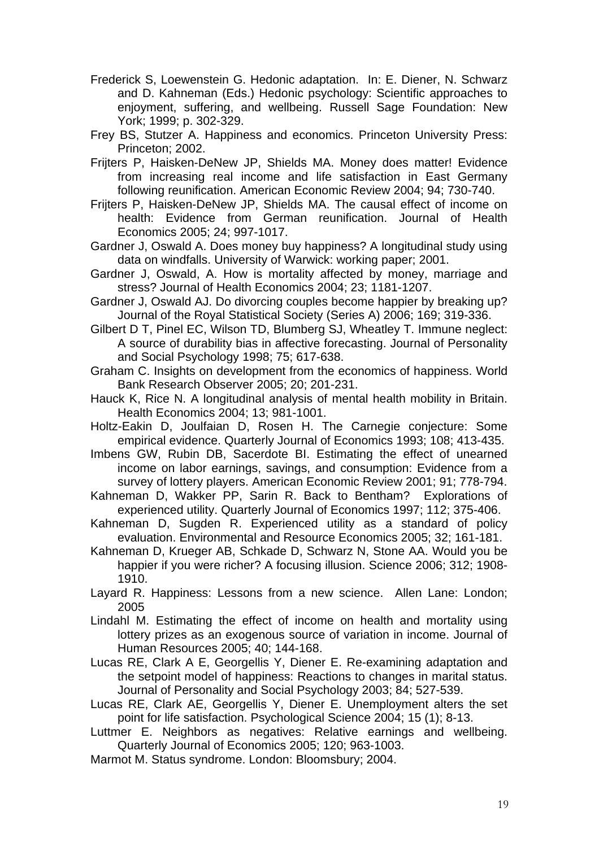- Frederick S, Loewenstein G. Hedonic adaptation. In: E. Diener, N. Schwarz and D. Kahneman (Eds.) Hedonic psychology: Scientific approaches to enjoyment, suffering, and wellbeing. Russell Sage Foundation: New York; 1999; p. 302-329.
- Frey BS, Stutzer A. Happiness and economics. Princeton University Press: Princeton; 2002.
- Frijters P, Haisken-DeNew JP, Shields MA. Money does matter! Evidence from increasing real income and life satisfaction in East Germany following reunification. American Economic Review 2004; 94; 730-740.
- Frijters P, Haisken-DeNew JP, Shields MA. The causal effect of income on health: Evidence from German reunification. Journal of Health Economics 2005; 24; 997-1017.
- Gardner J, Oswald A. Does money buy happiness? A longitudinal study using data on windfalls. University of Warwick: working paper; 2001.
- Gardner J, Oswald, A. How is mortality affected by money, marriage and stress? Journal of Health Economics 2004; 23; 1181-1207.
- Gardner J, Oswald AJ. Do divorcing couples become happier by breaking up? Journal of the Royal Statistical Society (Series A) 2006; 169; 319-336.
- Gilbert D T, Pinel EC, Wilson TD, Blumberg SJ, Wheatley T. Immune neglect: A source of durability bias in affective forecasting. Journal of Personality and Social Psychology 1998; 75; 617-638.
- Graham C. Insights on development from the economics of happiness. World Bank Research Observer 2005; 20; 201-231.
- Hauck K, Rice N. A longitudinal analysis of mental health mobility in Britain. Health Economics 2004; 13; 981-1001.
- Holtz-Eakin D, Joulfaian D, Rosen H. The Carnegie conjecture: Some empirical evidence. Quarterly Journal of Economics 1993; 108; 413-435.
- Imbens GW, Rubin DB, Sacerdote BI. Estimating the effect of unearned income on labor earnings, savings, and consumption: Evidence from a survey of lottery players. American Economic Review 2001; 91; 778-794.
- Kahneman D, Wakker PP, Sarin R. Back to Bentham? Explorations of experienced utility. Quarterly Journal of Economics 1997; 112; 375-406.
- Kahneman D, Sugden R. Experienced utility as a standard of policy evaluation. Environmental and Resource Economics 2005; 32; 161-181.
- Kahneman D, Krueger AB, Schkade D, Schwarz N, Stone AA. Would you be happier if you were richer? A focusing illusion. Science 2006; 312; 1908- 1910.
- Layard R. Happiness: Lessons from a new science. Allen Lane: London; 2005
- Lindahl M. Estimating the effect of income on health and mortality using lottery prizes as an exogenous source of variation in income. Journal of Human Resources 2005; 40; 144-168.
- Lucas RE, Clark A E, Georgellis Y, Diener E. Re-examining adaptation and the setpoint model of happiness: Reactions to changes in marital status. Journal of Personality and Social Psychology 2003; 84; 527-539.
- Lucas RE, Clark AE, Georgellis Y, Diener E. Unemployment alters the set point for life satisfaction. Psychological Science 2004; 15 (1); 8-13.
- Luttmer E. Neighbors as negatives: Relative earnings and wellbeing. Quarterly Journal of Economics 2005; 120; 963-1003.
- Marmot M. Status syndrome. London: Bloomsbury; 2004.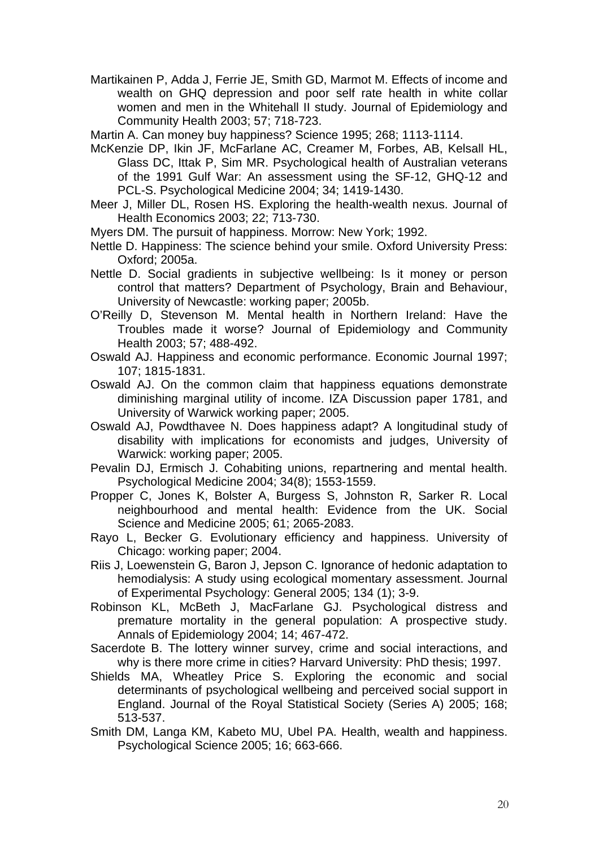Martikainen P, Adda J, Ferrie JE, Smith GD, Marmot M. Effects of income and wealth on GHQ depression and poor self rate health in white collar women and men in the Whitehall II study. Journal of Epidemiology and Community Health 2003; 57; 718-723.

Martin A. Can money buy happiness? Science 1995; 268; 1113-1114.

- McKenzie DP, Ikin JF, McFarlane AC, Creamer M, Forbes, AB, Kelsall HL, Glass DC, Ittak P, Sim MR. Psychological health of Australian veterans of the 1991 Gulf War: An assessment using the SF-12, GHQ-12 and PCL-S. Psychological Medicine 2004; 34; 1419-1430.
- Meer J, Miller DL, Rosen HS. Exploring the health-wealth nexus. Journal of Health Economics 2003; 22; 713-730.
- Myers DM. The pursuit of happiness. Morrow: New York; 1992.
- Nettle D. Happiness: The science behind your smile. Oxford University Press: Oxford; 2005a.
- Nettle D. Social gradients in subjective wellbeing: Is it money or person control that matters? Department of Psychology, Brain and Behaviour, University of Newcastle: working paper; 2005b.
- O'Reilly D, Stevenson M. Mental health in Northern Ireland: Have the Troubles made it worse? Journal of Epidemiology and Community Health 2003; 57; 488-492.
- Oswald AJ. Happiness and economic performance. Economic Journal 1997; 107; 1815-1831.
- Oswald AJ. On the common claim that happiness equations demonstrate diminishing marginal utility of income. IZA Discussion paper 1781, and University of Warwick working paper; 2005.
- Oswald AJ, Powdthavee N. Does happiness adapt? A longitudinal study of disability with implications for economists and judges, University of Warwick: working paper; 2005.
- Pevalin DJ, Ermisch J. Cohabiting unions, repartnering and mental health. Psychological Medicine 2004; 34(8); 1553-1559.
- Propper C, Jones K, Bolster A, Burgess S, Johnston R, Sarker R. Local neighbourhood and mental health: Evidence from the UK. Social Science and Medicine 2005; 61; 2065-2083.
- Rayo L, Becker G. Evolutionary efficiency and happiness. University of Chicago: working paper; 2004.
- Riis J, Loewenstein G, Baron J, Jepson C. Ignorance of hedonic adaptation to hemodialysis: A study using ecological momentary assessment. Journal of Experimental Psychology: General 2005; 134 (1); 3-9.
- Robinson KL, McBeth J, MacFarlane GJ. Psychological distress and premature mortality in the general population: A prospective study. Annals of Epidemiology 2004; 14; 467-472.
- Sacerdote B. The lottery winner survey, crime and social interactions, and why is there more crime in cities? Harvard University: PhD thesis; 1997.
- Shields MA, Wheatley Price S. Exploring the economic and social determinants of psychological wellbeing and perceived social support in England. Journal of the Royal Statistical Society (Series A) 2005; 168; 513-537.
- Smith DM, Langa KM, Kabeto MU, Ubel PA. Health, wealth and happiness. Psychological Science 2005; 16; 663-666.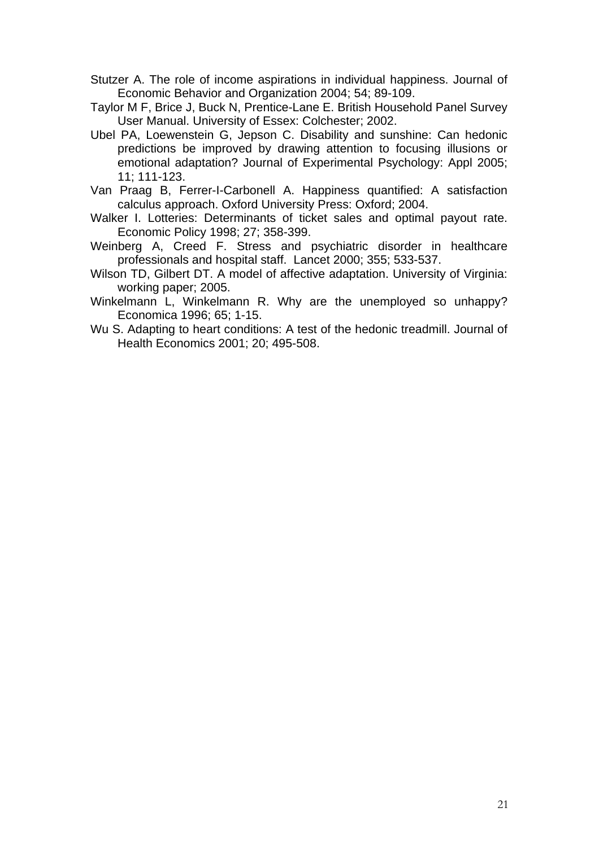- Stutzer A. The role of income aspirations in individual happiness. Journal of Economic Behavior and Organization 2004; 54; 89-109.
- Taylor M F, Brice J, Buck N, Prentice-Lane E. British Household Panel Survey User Manual. University of Essex: Colchester; 2002.
- Ubel PA, Loewenstein G, Jepson C. Disability and sunshine: Can hedonic predictions be improved by drawing attention to focusing illusions or emotional adaptation? Journal of Experimental Psychology: Appl 2005; 11; 111-123.
- Van Praag B, Ferrer-I-Carbonell A. Happiness quantified: A satisfaction calculus approach. Oxford University Press: Oxford; 2004.
- Walker I. Lotteries: Determinants of ticket sales and optimal payout rate. Economic Policy 1998; 27; 358-399.
- Weinberg A, Creed F. Stress and psychiatric disorder in healthcare professionals and hospital staff. Lancet 2000; 355; 533-537.
- Wilson TD, Gilbert DT. A model of affective adaptation. University of Virginia: working paper; 2005.
- Winkelmann L, Winkelmann R. Why are the unemployed so unhappy? Economica 1996; 65; 1-15.
- Wu S. Adapting to heart conditions: A test of the hedonic treadmill. Journal of Health Economics 2001; 20; 495-508.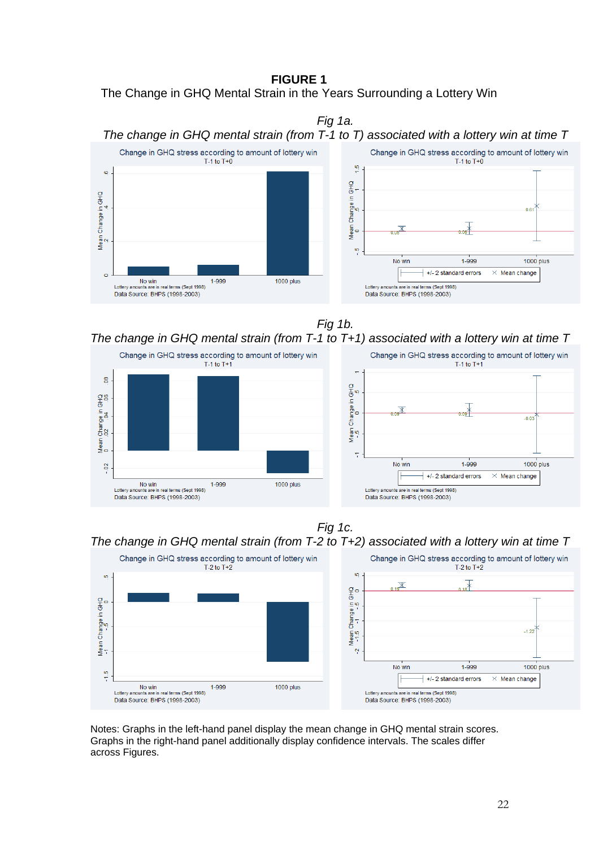### **FIGURE 1**





*Fig 1b.* 

# *The change in GHQ mental strain (from T-1 to T+1) associated with a lottery win at time T*



### *Fig 1c. The change in GHQ mental strain (from T-2 to T+2) associated with a lottery win at time T*



Notes: Graphs in the left-hand panel display the mean change in GHQ mental strain scores. Graphs in the right-hand panel additionally display confidence intervals. The scales differ across Figures.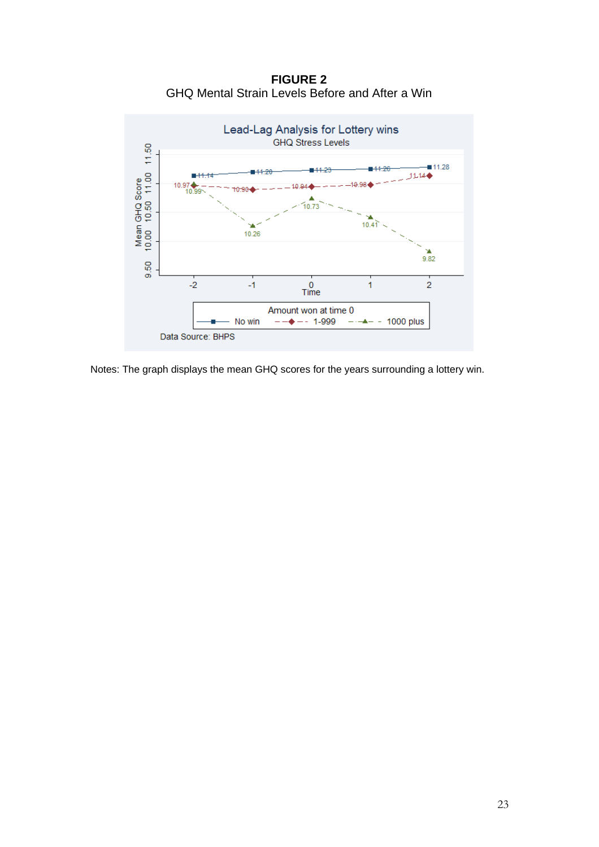**FIGURE 2**  GHQ Mental Strain Levels Before and After a Win



Notes: The graph displays the mean GHQ scores for the years surrounding a lottery win.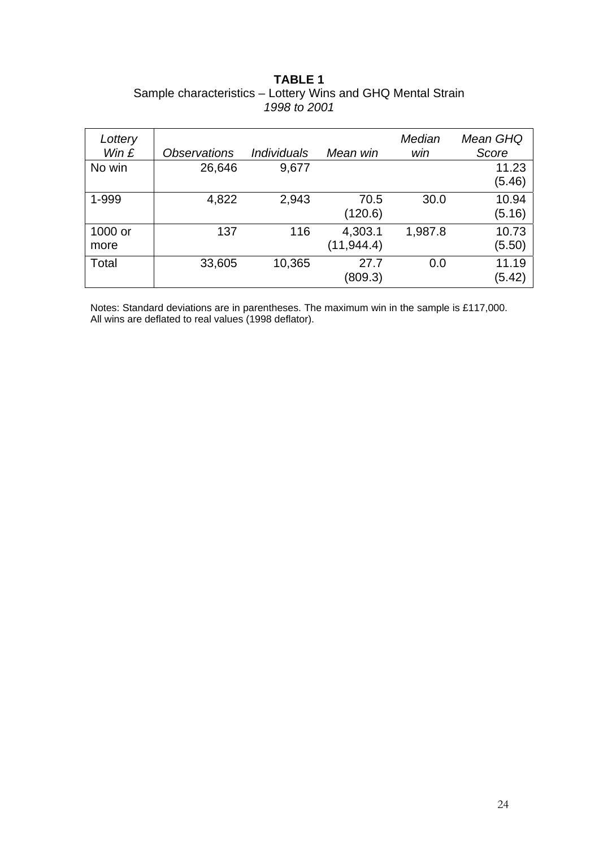### **TABLE 1**  Sample characteristics – Lottery Wins and GHQ Mental Strain *1998 to 2001*

| Lottery<br>Win $E$ | <i><b>Observations</b></i> | <i><b>Individuals</b></i> | Mean win               | Median<br>win | Mean GHQ<br>Score |
|--------------------|----------------------------|---------------------------|------------------------|---------------|-------------------|
| No win             | 26,646                     | 9,677                     |                        |               | 11.23<br>(5.46)   |
| 1-999              | 4,822                      | 2,943                     | 70.5<br>(120.6)        | 30.0          | 10.94<br>(5.16)   |
| 1000 or<br>more    | 137                        | 116                       | 4,303.1<br>(11, 944.4) | 1,987.8       | 10.73<br>(5.50)   |
| Total              | 33,605                     | 10,365                    | 27.7<br>(809.3)        | 0.0           | 11.19<br>(5.42)   |

Notes: Standard deviations are in parentheses. The maximum win in the sample is £117,000. All wins are deflated to real values (1998 deflator).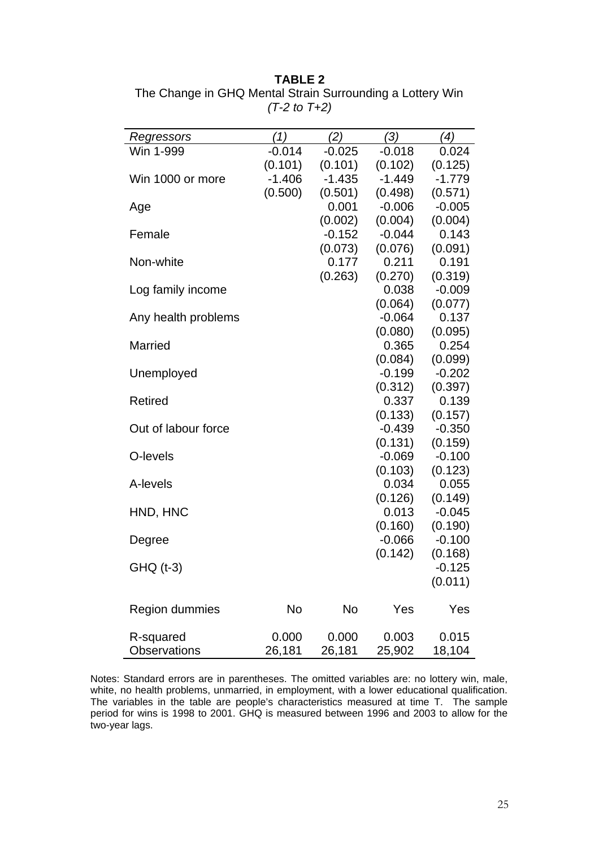### **TABLE 2**

| Regressors          | '1)      | (2)      | ′3)      | ′4)      |
|---------------------|----------|----------|----------|----------|
| Win 1-999           | $-0.014$ | $-0.025$ | $-0.018$ | 0.024    |
|                     | (0.101)  | (0.101)  | (0.102)  | (0.125)  |
| Win 1000 or more    | $-1.406$ | $-1.435$ | $-1.449$ | $-1.779$ |
|                     | (0.500)  | (0.501)  | (0.498)  | (0.571)  |
| Age                 |          | 0.001    | $-0.006$ | $-0.005$ |
|                     |          | (0.002)  | (0.004)  | (0.004)  |
| Female              |          | $-0.152$ | $-0.044$ | 0.143    |
|                     |          | (0.073)  | (0.076)  | (0.091)  |
| Non-white           |          | 0.177    | 0.211    | 0.191    |
|                     |          | (0.263)  | (0.270)  | (0.319)  |
| Log family income   |          |          | 0.038    | $-0.009$ |
|                     |          |          | (0.064)  | (0.077)  |
| Any health problems |          |          | $-0.064$ | 0.137    |
|                     |          |          | (0.080)  | (0.095)  |
| <b>Married</b>      |          |          | 0.365    | 0.254    |
|                     |          |          | (0.084)  | (0.099)  |
| Unemployed          |          |          | $-0.199$ | $-0.202$ |
|                     |          |          | (0.312)  | (0.397)  |
| <b>Retired</b>      |          |          | 0.337    | 0.139    |
|                     |          |          | (0.133)  | (0.157)  |
| Out of labour force |          |          | $-0.439$ | $-0.350$ |
|                     |          |          | (0.131)  | (0.159)  |
| O-levels            |          |          | $-0.069$ | $-0.100$ |
|                     |          |          | (0.103)  | (0.123)  |
| A-levels            |          |          | 0.034    | 0.055    |
|                     |          |          | (0.126)  | (0.149)  |
| HND, HNC            |          |          | 0.013    | $-0.045$ |
|                     |          |          | (0.160)  | (0.190)  |
| Degree              |          |          | $-0.066$ | $-0.100$ |
|                     |          |          | (0.142)  | (0.168)  |
| GHQ (t-3)           |          |          |          | $-0.125$ |
|                     |          |          |          | (0.011)  |
|                     |          |          |          |          |
| Region dummies      | No       | No       | Yes      | Yes      |
|                     |          |          |          |          |
| R-squared           | 0.000    | 0.000    | 0.003    | 0.015    |
| <b>Observations</b> | 26,181   | 26,181   | 25,902   | 18,104   |

The Change in GHQ Mental Strain Surrounding a Lottery Win *(T-2 to T+2)* 

Notes: Standard errors are in parentheses. The omitted variables are: no lottery win, male, white, no health problems, unmarried, in employment, with a lower educational qualification. The variables in the table are people's characteristics measured at time T. The sample period for wins is 1998 to 2001. GHQ is measured between 1996 and 2003 to allow for the two-year lags.